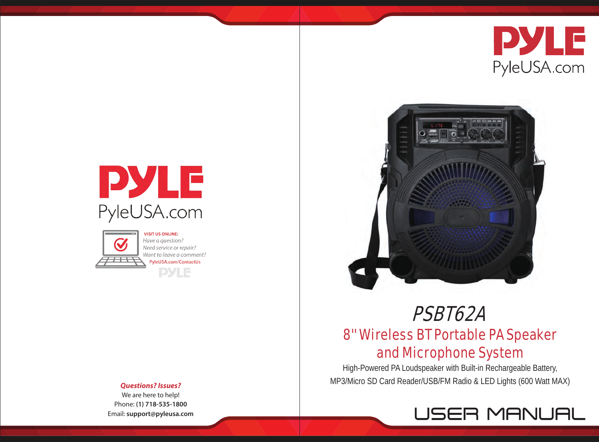



# PSBT62A 8'' Wireless BT Portable PA Speaker and Microphone System

High-Powered PA Loudspeaker with Built-in Rechargeable Battery, MP3/Micro SD Card Reader/USB/FM Radio & LED Lights (600 Watt MAX) *Questions? Issues?*







**VISIT US ONLINE:** Have a question? Need service or repair? Want to leave a comment? PyleUSA.com/ContactUs **DYLE** 

We are here to help! Phone: **(1) 718-535-1800** Email: **support@pyleusa.com**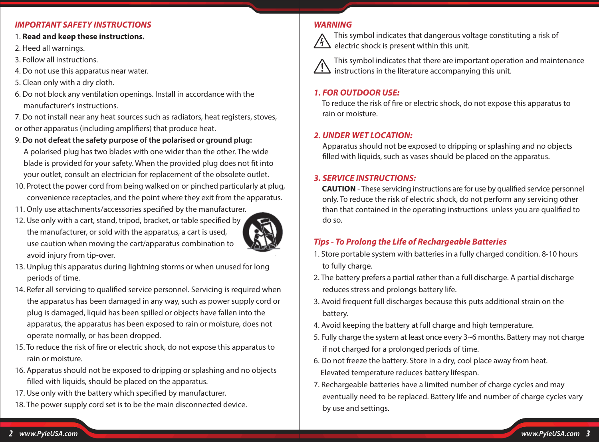#### *IMPORTANT SAFETY INSTRUCTIONS*

#### 1. **Read and keep these instructions.**

- 2. Heed all warnings.
- 3. Follow all instructions.
- 4. Do not use this apparatus near water.
- 5. Clean only with a dry cloth.
- 6. Do not block any ventilation openings. Install in accordance with the manufacturer's instructions.
- 7. Do not install near any heat sources such as radiators, heat registers, stoves, or other apparatus (including amplifiers) that produce heat.
- 9. **Do not defeat the safety purpose of the polarised or ground plug:** A polarised plug has two blades with one wider than the other. The wide blade is provided for your safety. When the provided plug does not fit into your outlet, consult an electrician for replacement of the obsolete outlet.
- 10. Protect the power cord from being walked on or pinched particularly at plug, convenience receptacles, and the point where they exit from the apparatus.
- 11. Only use attachments/accessories specified by the manufacturer.
- 12. Use only with a cart, stand, tripod, bracket, or table specified by the manufacturer, or sold with the apparatus, a cart is used, use caution when moving the cart/apparatus combination to avoid injury from tip-over.
- 13. Unplug this apparatus during lightning storms or when unused for long periods of time.
- 14. Refer all servicing to qualified service personnel. Servicing is required when the apparatus has been damaged in any way, such as power supply cord or plug is damaged, liquid has been spilled or objects have fallen into the apparatus, the apparatus has been exposed to rain or moisture, does not operate normally, or has been dropped.
- 15. To reduce the risk of fire or electric shock, do not expose this apparatus to rain or moisture.
- 16. Apparatus should not be exposed to dripping or splashing and no objects filled with liquids, should be placed on the apparatus.
- 17. Use only with the battery which specified by manufacturer.
- 18. The power supply cord set is to be the main disconnected device.

#### *WARNING*



 This symbol indicates that dangerous voltage constituting a risk of electric shock is present within this unit.



 This symbol indicates that there are important operation and maintenance  $\mathbf{I}$  instructions in the literature accompanying this unit.

#### *1. FOR OUTDOOR USE:*

To reduce the risk of fire or electric shock, do not expose this apparatus to rain or moisture.

#### *2. UNDER WET LOCATION:*

 Apparatus should not be exposed to dripping or splashing and no objects filled with liquids, such as vases should be placed on the apparatus.

#### *3. SERVICE INSTRUCTIONS:*

**CAUTION** - These servicing instructions are for use by qualified service personnel only. To reduce the risk of electric shock, do not perform any servicing other than that contained in the operating instructions unless you are qualified to do so.

# *Tips - To Prolong the Life of Rechargeable Batteries*

- 1. Store portable system with batteries in a fully charged condition. 8-10 hours to fully charge.
- 2. The battery prefers a partial rather than a full discharge. A partial discharge reduces stress and prolongs battery life.
- 3. Avoid frequent full discharges because this puts additional strain on the battery.
- 4. Avoid keeping the battery at full charge and high temperature.
- 5. Fully charge the system at least once every 3~6 months. Battery may not charge if not charged for a prolonged periods of time.
- 6. Do not freeze the battery. Store in a dry, cool place away from heat. Elevated temperature reduces battery lifespan.
- 7. Rechargeable batteries have a limited number of charge cycles and may eventually need to be replaced. Battery life and number of charge cycles vary by use and settings.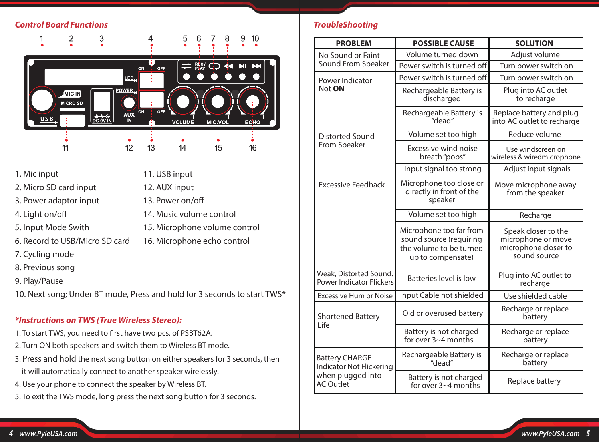# *Control Board Functions*



11. USB input 12. AUX input 13. Power on/o

14. Music volume control

15. Microphone volume control 16. Microphone echo control

- 1. Mic input
- 2. Micro SD card input
- 3. Power adaptor input
- 4. Light on/o
- 5. Input Mode Swith
- 6. Record to USB/Micro SD card
- 7. Cycling mode
- 8. Previous song
- 9. Play/Pause

10. Next song; Under BT mode, Press and hold for 3 seconds to start TWS\*

#### *\*Instructions on TWS (True Wireless Stereo):*

- 1. To start TWS, you need to first have two pcs. of PSBT62A.
- 2. Turn ON both speakers and switch them to Wireless BT mode.
- 3. Press and hold the next song button on either speakers for 3 seconds, then it will automatically connect to another speaker wirelessly.
- 4. Use your phone to connect the speaker by Wireless BT.
- 5. To exit the TWS mode, long press the next song button for 3 seconds.

# *TroubleShooting*

| <b>PROBLEM</b>                                                                                    | <b>POSSIBLE CAUSE</b>                                                                              | <b>SOLUTION</b>                                                                   |
|---------------------------------------------------------------------------------------------------|----------------------------------------------------------------------------------------------------|-----------------------------------------------------------------------------------|
| No Sound or Faint<br>Sound From Speaker                                                           | Volume turned down                                                                                 | Adjust volume                                                                     |
|                                                                                                   | Power switch is turned off                                                                         | Turn power switch on                                                              |
| Power Indicator<br>Not ON                                                                         | Power switch is turned off                                                                         | Turn power switch on                                                              |
|                                                                                                   | Rechargeable Battery is<br>discharged                                                              | Plug into AC outlet<br>to recharge                                                |
|                                                                                                   | Rechargeable Battery is<br>"dead"                                                                  | Replace battery and plug<br>into AC outlet to recharge                            |
| <b>Distorted Sound</b><br>From Speaker                                                            | Volume set too high                                                                                | Reduce volume                                                                     |
|                                                                                                   | <b>Excessive wind noise</b><br>breath "pops"                                                       | Use windscreen on<br>wireless & wiredmicrophone                                   |
|                                                                                                   | Input signal too strong                                                                            | Adjust input signals                                                              |
| <b>Excessive Feedback</b>                                                                         | Microphone too close or<br>directly in front of the<br>speaker                                     | Move microphone away<br>from the speaker                                          |
|                                                                                                   | Volume set too high                                                                                | Recharge                                                                          |
|                                                                                                   | Microphone too far from<br>sound source (requiring<br>the volume to be turned<br>up to compensate) | Speak closer to the<br>microphone or move<br>microphone closer to<br>sound source |
| Weak, Distorted Sound.<br><b>Power Indicator Flickers</b>                                         | Batteries level is low                                                                             | Plug into AC outlet to<br>recharge                                                |
| <b>Excessive Hum or Noise</b>                                                                     | Input Cable not shielded                                                                           | Use shielded cable                                                                |
| <b>Shortened Battery</b><br>Life                                                                  | Old or overused battery                                                                            | Recharge or replace<br>battery                                                    |
|                                                                                                   | Battery is not charged<br>for over $3\neg 4$ months                                                | Recharge or replace<br>battery                                                    |
| <b>Battery CHARGE</b><br><b>Indicator Not Flickering</b><br>when plugged into<br><b>AC Outlet</b> | Rechargeable Battery is<br>"dead"                                                                  | Recharge or replace<br>battery                                                    |
|                                                                                                   | Battery is not charged<br>for over $3 - 4$ months                                                  | Replace battery                                                                   |